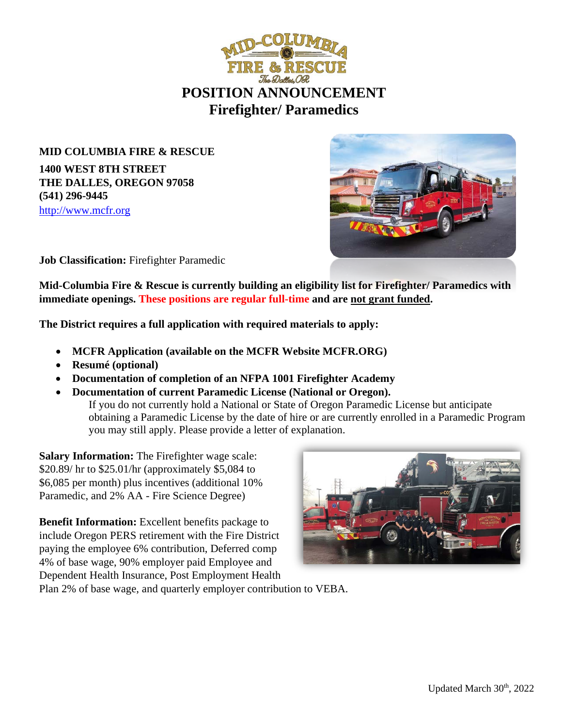

**MID COLUMBIA FIRE & RESCUE 1400 WEST 8TH STREET THE DALLES, OREGON 97058 (541) 296-9445** [http://www.mcfr.org](http://www.mcfr.org/)



**Job Classification:** Firefighter Paramedic

**Mid-Columbia Fire & Rescue is currently building an eligibility list for Firefighter/ Paramedics with immediate openings. These positions are regular full-time and are not grant funded.** 

**The District requires a full application with required materials to apply:**

- **MCFR Application (available on the MCFR Website MCFR.ORG)**
- **Resumé (optional)**
- **Documentation of completion of an NFPA 1001 Firefighter Academy**
- **Documentation of current Paramedic License (National or Oregon).**

If you do not currently hold a National or State of Oregon Paramedic License but anticipate obtaining a Paramedic License by the date of hire or are currently enrolled in a Paramedic Program you may still apply. Please provide a letter of explanation.

**Salary Information:** The Firefighter wage scale: \$20.89/ hr to \$25.01/hr (approximately \$5,084 to \$6,085 per month) plus incentives (additional 10% Paramedic, and 2% AA - Fire Science Degree)

**Benefit Information:** Excellent benefits package to include Oregon PERS retirement with the Fire District paying the employee 6% contribution, Deferred comp 4% of base wage, 90% employer paid Employee and Dependent Health Insurance, Post Employment Health



Plan 2% of base wage, and quarterly employer contribution to VEBA.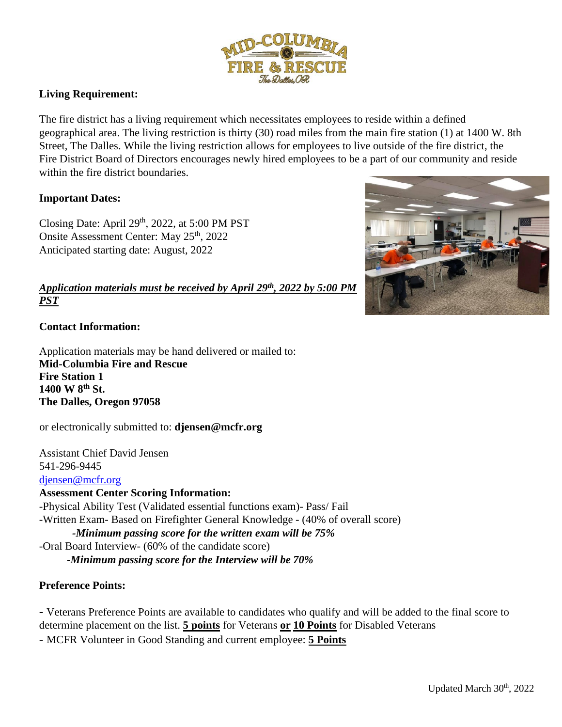

## **Living Requirement:**

The fire district has a living requirement which necessitates employees to reside within a defined geographical area. The living restriction is thirty (30) road miles from the main fire station (1) at 1400 W. 8th Street, The Dalles. While the living restriction allows for employees to live outside of the fire district, the Fire District Board of Directors encourages newly hired employees to be a part of our community and reside within the fire district boundaries.

### **Important Dates:**

Closing Date: April  $29<sup>th</sup>$ , 2022, at 5:00 PM PST Onsite Assessment Center: May 25<sup>th</sup>, 2022 Anticipated starting date: August, 2022

# *Application materials must be received by April 29th, 2022 by 5:00 PM PST*

### **Contact Information:**

Application materials may be hand delivered or mailed to: **Mid-Columbia Fire and Rescue Fire Station 1 1400 W 8th St. The Dalles, Oregon 97058**

or electronically submitted to: **djensen@mcfr.org**

Assistant Chief David Jensen 541-296-9445 [djensen@mcfr.org](mailto:Djensen@mcfr.org)

#### **Assessment Center Scoring Information:**

-Physical Ability Test (Validated essential functions exam)- Pass/ Fail -Written Exam- Based on Firefighter General Knowledge - (40% of overall score) *-Minimum passing score for the written exam will be 75%* -Oral Board Interview- (60% of the candidate score) *-Minimum passing score for the Interview will be 70%*

### **Preference Points:**

- Veterans Preference Points are available to candidates who qualify and will be added to the final score to determine placement on the list. **5 points** for Veterans **or 10 Points** for Disabled Veterans

- MCFR Volunteer in Good Standing and current employee: **5 Points**

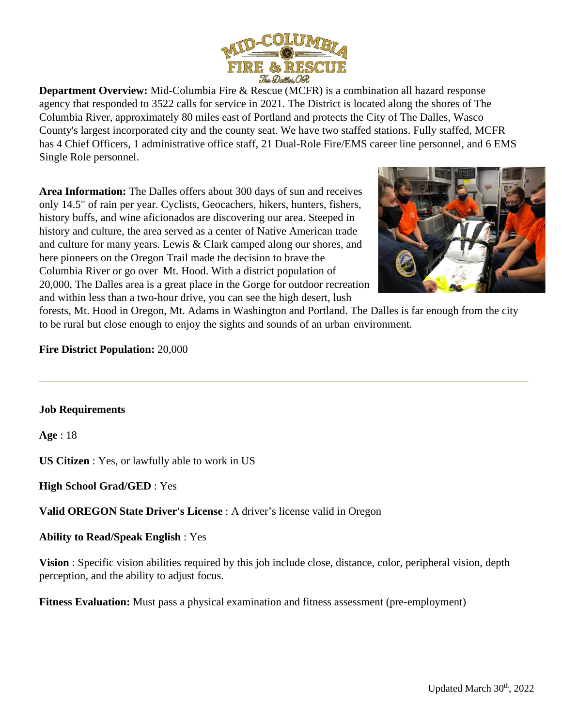

**Department Overview:** Mid-Columbia Fire & Rescue (MCFR) is a combination all hazard response agency that responded to 3522 calls for service in 2021. The District is located along the shores of The Columbia River, approximately 80 miles east of Portland and protects the City of The Dalles, Wasco County's largest incorporated city and the county seat. We have two staffed stations. Fully staffed, MCFR has 4 Chief Officers, 1 administrative office staff, 21 Dual-Role Fire/EMS career line personnel, and 6 EMS Single Role personnel.

**Area Information:** The Dalles offers about 300 days of sun and receives only 14.5" of rain per year. Cyclists, Geocachers, hikers, hunters, fishers, history buffs, and wine aficionados are discovering our area. Steeped in history and culture, the area served as a center of Native American trade and culture for many years. Lewis & Clark camped along our shores, and here pioneers on the Oregon Trail made the decision to brave the Columbia River or go over Mt. Hood. With a district population of 20,000, The Dalles area is a great place in the Gorge for outdoor recreation and within less than a two-hour drive, you can see the high desert, lush



forests, Mt. Hood in Oregon, Mt. Adams in Washington and Portland. The Dalles is far enough from the city to be rural but close enough to enjoy the sights and sounds of an urban environment.

### **Fire District Population:** 20,000

### **Job Requirements**

**Age** : 18

**US Citizen** : Yes, or lawfully able to work in US

**High School Grad/GED** : Yes

**Valid OREGON State Driver's License** : A driver's license valid in Oregon

**Ability to Read/Speak English** : Yes

**Vision** : Specific vision abilities required by this job include close, distance, color, peripheral vision, depth perception, and the ability to adjust focus.

**Fitness Evaluation:** Must pass a physical examination and fitness assessment (pre-employment)